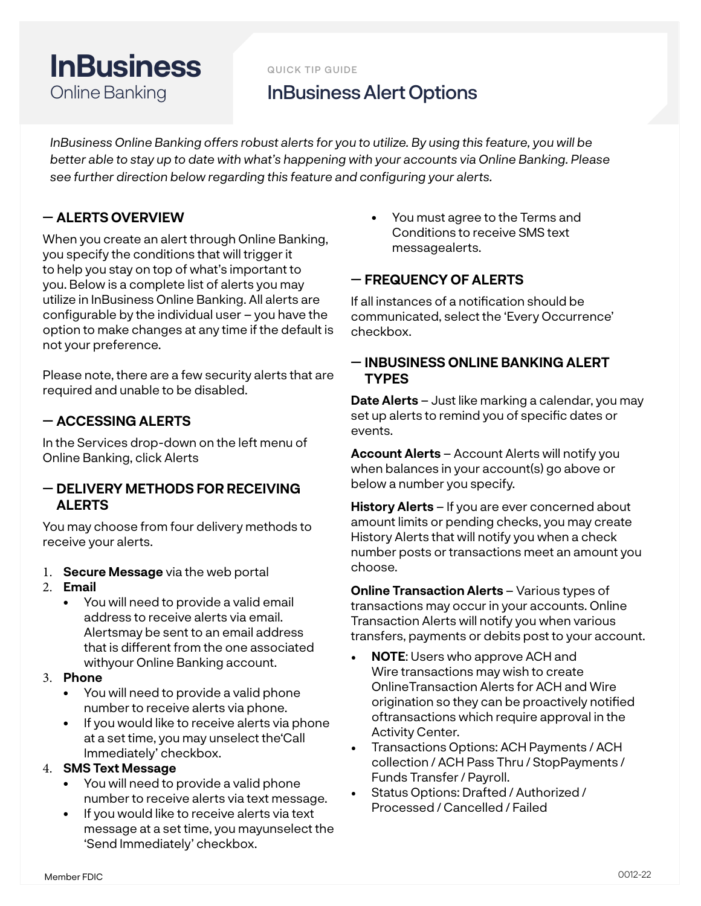# **InBusiness** Online Banking

QUICK TIP GUIDE

## InBusiness Alert Options

*InBusiness Online Banking offers robust alerts for you to utilize. By using this feature, you will be better able to stay up to date with what's happening with your accounts via Online Banking. Please see further direction below regarding this feature and configuring your alerts.* 

## ꟷ **ALERTS OVERVIEW**

When you create an alert through Online Banking, you specify the conditions that will trigger it to help you stay on top of what's important to you. Below is a complete list of alerts you may utilize in InBusiness Online Banking. All alerts are configurable by the individual user – you have the option to make changes at any time if the default is not your preference.

Please note, there are a few security alerts that are required and unable to be disabled.

## ꟷ **ACCESSING ALERTS**

In the Services drop-down on the left menu of Online Banking, click Alerts

### ꟷ **DELIVERY METHODS FOR RECEIVING ALERTS**

You may choose from four delivery methods to receive your alerts.

- 1. **Secure Message** via the web portal
- 2. **Email**
	- You will need to provide a valid email address to receive alerts via email. Alertsmay be sent to an email address that is different from the one associated withyour Online Banking account.

#### 3. **Phone**

- You will need to provide a valid phone number to receive alerts via phone.
- If you would like to receive alerts via phone at a set time, you may unselect the'Call Immediately' checkbox.

#### 4. **SMS Text Message**

- You will need to provide a valid phone number to receive alerts via text message.
- If you would like to receive alerts via text message at a set time, you mayunselect the 'Send Immediately' checkbox.

• You must agree to the Terms and Conditions to receive SMS text messagealerts.

## ꟷ **FREQUENCY OF ALERTS**

If all instances of a notification should be communicated, select the 'Every Occurrence' checkbox.

## ꟷ **INBUSINESS ONLINE BANKING ALERT TYPES**

**Date Alerts** – Just like marking a calendar, you may set up alerts to remind you of specific dates or events.

**Account Alerts** – Account Alerts will notify you when balances in your account(s) go above or below a number you specify.

**History Alerts** – If you are ever concerned about amount limits or pending checks, you may create History Alerts that will notify you when a check number posts or transactions meet an amount you choose.

**Online Transaction Alerts – Various types of** transactions may occur in your accounts. Online Transaction Alerts will notify you when various transfers, payments or debits post to your account.

- **NOTE**: Users who approve ACH and Wire transactions may wish to create OnlineTransaction Alerts for ACH and Wire origination so they can be proactively notified oftransactions which require approval in the Activity Center.
- Transactions Options: ACH Payments / ACH collection / ACH Pass Thru / StopPayments / Funds Transfer / Payroll.
- Status Options: Drafted / Authorized / Processed / Cancelled / Failed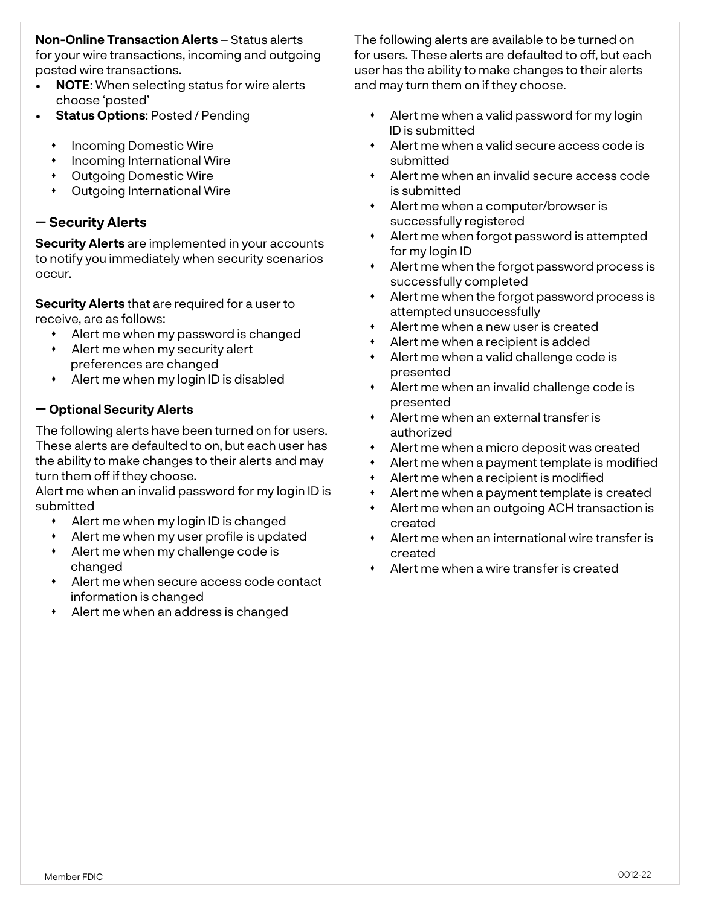#### **Non-Online Transaction Alerts** – Status alerts for your wire transactions, incoming and outgoing posted wire transactions.

- **NOTE**: When selecting status for wire alerts choose 'posted'
- **Status Options**: Posted / Pending
	- **\*** Incoming Domestic Wire
	- **+** Incoming International Wire
	- Outgoing Domestic Wire
	- Outgoing International Wire

## ꟷ **Security Alerts**

**Security Alerts** are implemented in your accounts to notify you immediately when security scenarios occur.

**Security Alerts** that are required for a user to receive, are as follows:

- Alert me when my password is changed
- Alert me when my security alert preferences are changed
- Alert me when my login ID is disabled

#### ꟷ **Optional Security Alerts**

The following alerts have been turned on for users. These alerts are defaulted to on, but each user has the ability to make changes to their alerts and may turn them off if they choose.

Alert me when an invalid password for my login ID is submitted

- Alert me when my login ID is changed
- Alert me when my user profile is updated
- Alert me when my challenge code is changed
- Alert me when secure access code contact information is changed
- Alert me when an address is changed

The following alerts are available to be turned on for users. These alerts are defaulted to off, but each user has the ability to make changes to their alerts and may turn them on if they choose.

- Alert me when a valid password for my login ID is submitted
- Alert me when a valid secure access code is submitted
- Alert me when an invalid secure access code is submitted
- Alert me when a computer/browser is successfully registered
- Alert me when forgot password is attempted for my login ID
- Alert me when the forgot password process is successfully completed
- Alert me when the forgot password process is attempted unsuccessfully
- Alert me when a new user is created
- Alert me when a recipient is added
- Alert me when a valid challenge code is presented
- Alert me when an invalid challenge code is presented
- Alert me when an external transfer is authorized
- Alert me when a micro deposit was created
- Alert me when a payment template is modified
- Alert me when a recipient is modified
- Alert me when a payment template is created
- Alert me when an outgoing ACH transaction is created
- Alert me when an international wire transfer is created
- Alert me when a wire transfer is created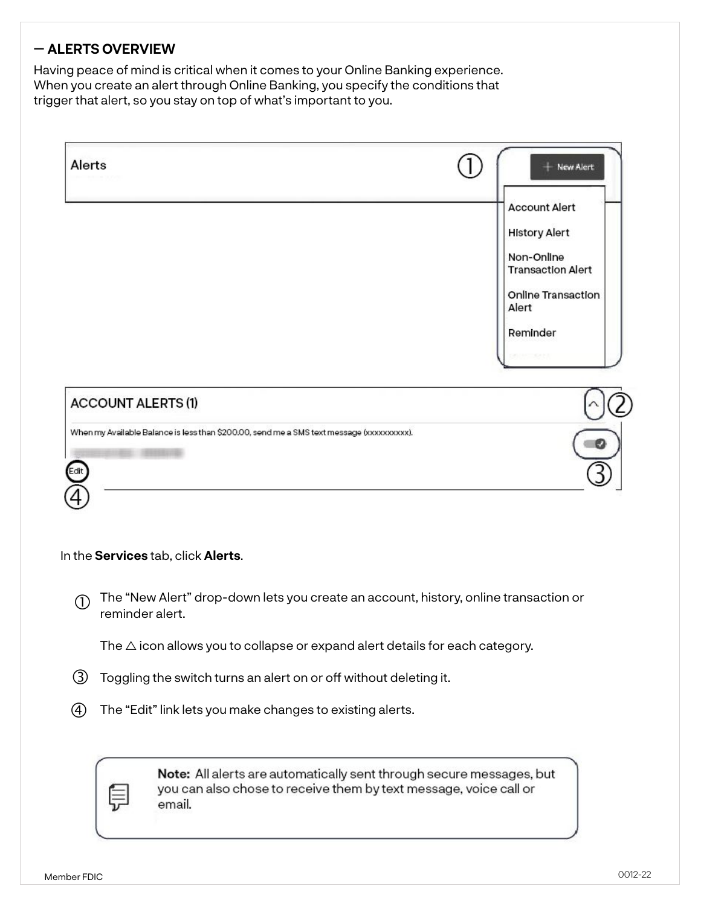## ꟷ **ALERTS OVERVIEW**

Having peace of mind is critical when it comes to your Online Banking experience. When you create an alert through Online Banking, you specify the conditions that trigger that alert, so you stay on top of what's important to you.

| Alerts                           |                                                                                                                                                     | + New Alert                                                                                                                       |  |
|----------------------------------|-----------------------------------------------------------------------------------------------------------------------------------------------------|-----------------------------------------------------------------------------------------------------------------------------------|--|
|                                  |                                                                                                                                                     | <b>Account Alert</b><br><b>History Alert</b><br>Non-Online<br><b>Transaction Alert</b><br>Online Transaction<br>Alert<br>Reminder |  |
| <b>ACCOUNT ALERTS (1)</b>        |                                                                                                                                                     |                                                                                                                                   |  |
| Edit                             | When my Available Balance is less than \$200.00, send me a SMS text message (xxxxxxxxxx).                                                           |                                                                                                                                   |  |
|                                  | In the Services tab, click Alerts.                                                                                                                  |                                                                                                                                   |  |
| $\circled{1}$<br>reminder alert. | The "New Alert" drop-down lets you create an account, history, online transaction or                                                                |                                                                                                                                   |  |
|                                  | The $\triangle$ icon allows you to collapse or expand alert details for each category.                                                              |                                                                                                                                   |  |
| (3)                              | Toggling the switch turns an alert on or off without deleting it.                                                                                   |                                                                                                                                   |  |
| $\left( 4\right)$                | The "Edit" link lets you make changes to existing alerts.                                                                                           |                                                                                                                                   |  |
|                                  | Note: All alerts are automatically sent through secure messages, but<br>you can also chose to receive them by text message, voice call or<br>email. |                                                                                                                                   |  |